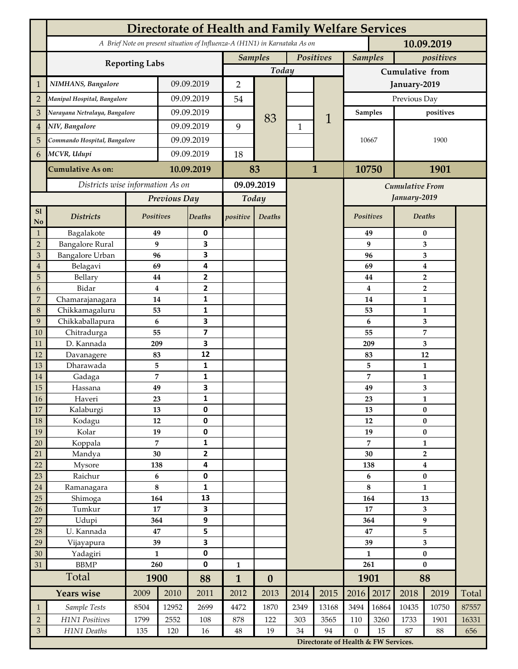|                 | <b>Directorate of Health and Family Welfare Services</b>                                 |                |            |                         |              |                  |              |                                      |                  |                                        |                              |                                                      |       |  |
|-----------------|------------------------------------------------------------------------------------------|----------------|------------|-------------------------|--------------|------------------|--------------|--------------------------------------|------------------|----------------------------------------|------------------------------|------------------------------------------------------|-------|--|
|                 | A Brief Note on present situation of Influenza-A (H1N1) in Karnataka As on<br>10.09.2019 |                |            |                         |              |                  |              |                                      |                  |                                        |                              |                                                      |       |  |
|                 | <b>Reporting Labs</b>                                                                    |                |            |                         |              | <b>Samples</b>   | Positives    |                                      | <b>Samples</b>   |                                        | positives                    |                                                      |       |  |
|                 |                                                                                          |                |            |                         | Today        |                  |              |                                      | Cumulative from  |                                        |                              |                                                      |       |  |
| $\mathbf{1}$    | NIMHANS, Bangalore                                                                       | 09.09.2019     |            | $\overline{2}$          |              |                  |              | January-2019                         |                  |                                        |                              |                                                      |       |  |
| $\overline{2}$  | Manipal Hospital, Bangalore                                                              |                |            | 09.09.2019              |              |                  |              |                                      | Previous Day     |                                        |                              |                                                      |       |  |
| 3               | Narayana Netralaya, Bangalore                                                            |                |            | 09.09.2019              |              |                  |              |                                      | <b>Samples</b>   |                                        | positives                    |                                                      |       |  |
| $\overline{4}$  | NIV, Bangalore                                                                           |                |            | 09.09.2019              | 9            | 83               | $\mathbf{1}$ | 1                                    |                  |                                        |                              |                                                      |       |  |
| 5               | Commando Hospital, Bangalore                                                             |                | 09.09.2019 |                         |              |                  |              |                                      | 10667            |                                        | 1900                         |                                                      |       |  |
| 6               | MCVR, Udupi                                                                              |                | 09.09.2019 |                         | 18           |                  |              |                                      |                  |                                        |                              |                                                      |       |  |
|                 | <b>Cumulative As on:</b>                                                                 |                |            | 10.09.2019              |              | 83               | $\mathbf{1}$ |                                      | 10750            |                                        | 1901                         |                                                      |       |  |
|                 | Districts wise information As on                                                         |                |            | 09.09.2019              |              |                  |              |                                      |                  |                                        |                              |                                                      |       |  |
|                 |                                                                                          |                |            | Today                   |              |                  |              |                                      |                  | <b>Cumulative From</b><br>January-2019 |                              |                                                      |       |  |
| S1              |                                                                                          |                |            | Previous Day            |              |                  |              |                                      |                  |                                        |                              |                                                      |       |  |
| No              | <b>Districts</b>                                                                         | Positives      |            | Deaths                  | positive     | Deaths           |              |                                      | Positives        |                                        |                              | Deaths                                               |       |  |
| $\mathbf{1}$    | Bagalakote                                                                               | 49             |            | 0                       |              |                  |              |                                      |                  | 49                                     |                              | 0                                                    |       |  |
| $\overline{2}$  | <b>Bangalore Rural</b>                                                                   | 9              |            | 3                       |              |                  |              |                                      |                  | 9                                      | 3                            |                                                      |       |  |
| 3               | <b>Bangalore Urban</b>                                                                   | 96             |            | 3                       |              |                  |              |                                      |                  | 96                                     | 3                            |                                                      |       |  |
| $\overline{4}$  | Belagavi                                                                                 | 69             |            | 4                       |              |                  |              |                                      |                  | 69                                     |                              | $\boldsymbol{4}$<br>$\overline{2}$<br>$\overline{2}$ |       |  |
| 5<br>6          | Bellary<br>Bidar                                                                         | 44<br>$\bf{4}$ |            | 2<br>$\mathbf{2}$       |              |                  |              |                                      |                  | 44<br>4                                |                              |                                                      |       |  |
| 7               | Chamarajanagara                                                                          | 14             |            | 1                       |              |                  |              |                                      |                  | 14                                     |                              | 1                                                    |       |  |
| 8               | Chikkamagaluru                                                                           | 53             |            | 1                       |              |                  |              |                                      |                  | 53                                     |                              | 1                                                    |       |  |
| 9               | Chikkaballapura                                                                          | 6              |            | 3                       |              |                  |              |                                      |                  | 6                                      |                              | 3                                                    |       |  |
| 10              | Chitradurga                                                                              | 55             |            | $\overline{\mathbf{z}}$ |              |                  |              |                                      |                  | 55                                     |                              | 7                                                    |       |  |
| 11              | D. Kannada                                                                               | 209            |            | 3                       |              |                  |              |                                      |                  | 209                                    |                              | 3                                                    |       |  |
| 12              | Davanagere                                                                               | 83             |            | 12                      |              |                  |              |                                      | 83               |                                        |                              | 12                                                   |       |  |
| 13              | Dharawada                                                                                | 5              |            | 1                       |              |                  |              |                                      |                  | 5                                      |                              | $\mathbf{1}$                                         |       |  |
| 14              | Gadaga                                                                                   | 7              |            | 1                       |              |                  |              |                                      |                  | 7                                      |                              | 1                                                    |       |  |
| 15              | Hassana                                                                                  | 49             |            | 3                       |              |                  |              |                                      |                  | 49                                     |                              | 3                                                    |       |  |
| <b>16</b><br>17 | Haveri<br>Kalaburgi                                                                      | 23<br>13       |            | 1<br>0                  |              |                  |              |                                      |                  | 23<br>13                               | 1<br>$\pmb{0}$               |                                                      |       |  |
| 18              | Kodagu                                                                                   | 12             |            | $\pmb{0}$               |              |                  |              |                                      |                  | 12                                     |                              | $\pmb{0}$                                            |       |  |
| 19              | Kolar                                                                                    | 19             |            | 0                       |              |                  |              |                                      |                  | 19                                     |                              | $\pmb{0}$                                            |       |  |
| 20              | Koppala                                                                                  | $\overline{7}$ |            | 1                       |              |                  |              |                                      | 7                |                                        | $\mathbf{1}$                 |                                                      |       |  |
| 21              | Mandya                                                                                   | $30\,$         |            | 2                       |              |                  |              |                                      |                  | 30                                     | $\mathbf{2}$                 |                                                      |       |  |
| 22              | Mysore                                                                                   | 138            |            | 4                       |              |                  |              |                                      |                  | 138                                    |                              | $\boldsymbol{4}$                                     |       |  |
| 23              | Raichur                                                                                  | $\bf 6$        |            | 0                       |              |                  |              |                                      |                  | 6                                      |                              | $\pmb{0}$                                            |       |  |
| $24\,$          | Ramanagara                                                                               | $\bf 8$        |            | 1                       |              |                  |              |                                      | 8                |                                        | $\mathbf{1}$                 |                                                      |       |  |
| 25              | Shimoga                                                                                  | 164            |            | 13                      |              |                  |              |                                      | 164              |                                        | 13                           |                                                      |       |  |
| 26              | Tumkur                                                                                   | 17             |            | 3                       |              |                  |              |                                      | 17               |                                        | 3                            |                                                      |       |  |
| 27              | Udupi                                                                                    | 364<br>47      |            | 9                       |              |                  |              |                                      | 364<br>47        |                                        | 9                            |                                                      |       |  |
| 28<br>29        | U. Kannada<br>Vijayapura                                                                 | 39             |            | 5<br>3                  |              |                  |              |                                      | 39               |                                        | 5<br>$\overline{\mathbf{3}}$ |                                                      |       |  |
| 30              | Yadagiri                                                                                 | $\mathbf{1}$   |            | 0                       |              |                  |              |                                      | $\mathbf{1}$     |                                        | $\pmb{0}$                    |                                                      |       |  |
| 31              | <b>BBMP</b>                                                                              | 260            |            | 0                       | $\mathbf{1}$ |                  |              |                                      | 261              |                                        | $\bf{0}$                     |                                                      |       |  |
|                 | Total                                                                                    | 1900           |            | 88                      | $\mathbf{1}$ | $\boldsymbol{0}$ |              |                                      | 1901             |                                        | 88                           |                                                      |       |  |
|                 | <b>Years wise</b>                                                                        | 2009           | 2010       | 2011                    | 2012         | 2013             | 2014         | 2015                                 | 2016             | 2017                                   | 2018                         | 2019                                                 | Total |  |
| $\mathbf{1}$    | Sample Tests                                                                             | 8504           | 12952      | 2699                    | 4472         | 1870             | 2349         | 13168                                | 3494             | 16864                                  | 10435                        | 10750                                                | 87557 |  |
| $\overline{2}$  | H1N1 Positives                                                                           | 1799           | 2552       | 108                     | 878          | 122              | 303          | 3565                                 | 110              | 3260                                   | 1733                         | 1901                                                 | 16331 |  |
| $\mathfrak{Z}$  | H1N1 Deaths                                                                              | 135            | 120        | 16                      | $48\,$       | 19               | 34           | 94                                   | $\boldsymbol{0}$ | 15                                     | 87                           | 88                                                   | 656   |  |
|                 |                                                                                          |                |            |                         |              |                  |              | Directorate of Health & FW Services. |                  |                                        |                              |                                                      |       |  |